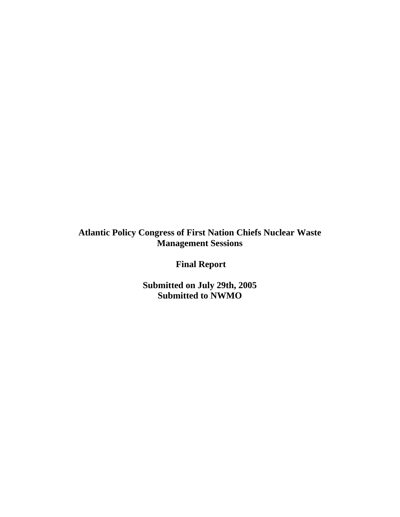**Atlantic Policy Congress of First Nation Chiefs Nuclear Waste Management Sessions** 

 **Final Report** 

**Submitted on July 29th, 2005 Submitted to NWMO**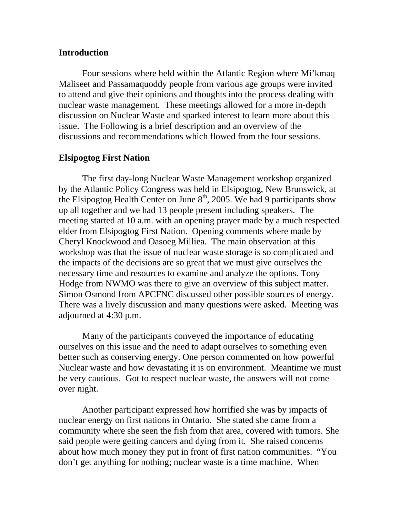## **Introduction**

Four sessions where held within the Atlantic Region where Mi'kmaq Maliseet and Passamaquoddy people from various age groups were invited to attend and give their opinions and thoughts into the process dealing with nuclear waste management. These meetings allowed for a more in-depth discussion on Nuclear Waste and sparked interest to learn more about this issue. The Following is a brief description and an overview of the discussions and recommendations which flowed from the four sessions.

# **Elsipogtog First Nation**

The first day-long Nuclear Waste Management workshop organized by the Atlantic Policy Congress was held in Elsipogtog, New Brunswick, at the Elsipogtog Health Center on June  $8<sup>th</sup>$ , 2005. We had 9 participants show up all together and we had 13 people present including speakers. The meeting started at 10 a.m. with an opening prayer made by a much respected elder from Elsipogtog First Nation. Opening comments where made by Cheryl Knockwood and Oasoeg Milliea. The main observation at this workshop was that the issue of nuclear waste storage is so complicated and the impacts of the decisions are so great that we must give ourselves the necessary time and resources to examine and analyze the options. Tony Hodge from NWMO was there to give an overview of this subject matter. Simon Osmond from APCFNC discussed other possible sources of energy. There was a lively discussion and many questions were asked. Meeting was adjourned at 4:30 p.m.

Many of the participants conveyed the importance of educating ourselves on this issue and the need to adapt ourselves to something even better such as conserving energy. One person commented on how powerful Nuclear waste and how devastating it is on environment. Meantime we must be very cautious. Got to respect nuclear waste, the answers will not come over night.

Another participant expressed how horrified she was by impacts of nuclear energy on first nations in Ontario. She stated she came from a community where she seen the fish from that area, covered with tumors. She said people were getting cancers and dying from it. She raised concerns about how much money they put in front of first nation communities. "You don't get anything for nothing; nuclear waste is a time machine. When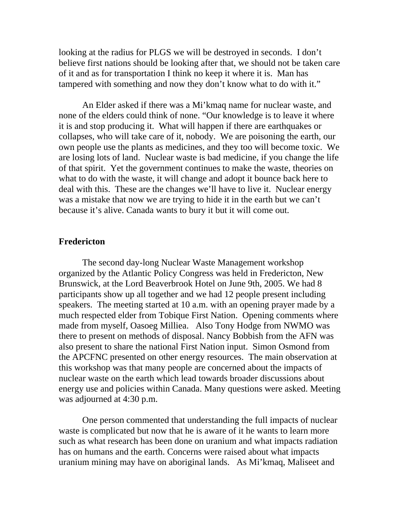looking at the radius for PLGS we will be destroyed in seconds. I don't believe first nations should be looking after that, we should not be taken care of it and as for transportation I think no keep it where it is. Man has tampered with something and now they don't know what to do with it."

An Elder asked if there was a Mi'kmaq name for nuclear waste, and none of the elders could think of none. "Our knowledge is to leave it where it is and stop producing it. What will happen if there are earthquakes or collapses, who will take care of it, nobody. We are poisoning the earth, our own people use the plants as medicines, and they too will become toxic. We are losing lots of land. Nuclear waste is bad medicine, if you change the life of that spirit. Yet the government continues to make the waste, theories on what to do with the waste, it will change and adopt it bounce back here to deal with this. These are the changes we'll have to live it. Nuclear energy was a mistake that now we are trying to hide it in the earth but we can't because it's alive. Canada wants to bury it but it will come out.

## **Fredericton**

The second day-long Nuclear Waste Management workshop organized by the Atlantic Policy Congress was held in Fredericton, New Brunswick, at the Lord Beaverbrook Hotel on June 9th, 2005. We had 8 participants show up all together and we had 12 people present including speakers. The meeting started at 10 a.m. with an opening prayer made by a much respected elder from Tobique First Nation. Opening comments where made from myself, Oasoeg Milliea. Also Tony Hodge from NWMO was there to present on methods of disposal. Nancy Bobbish from the AFN was also present to share the national First Nation input. Simon Osmond from the APCFNC presented on other energy resources. The main observation at this workshop was that many people are concerned about the impacts of nuclear waste on the earth which lead towards broader discussions about energy use and policies within Canada. Many questions were asked. Meeting was adjourned at 4:30 p.m.

One person commented that understanding the full impacts of nuclear waste is complicated but now that he is aware of it he wants to learn more such as what research has been done on uranium and what impacts radiation has on humans and the earth. Concerns were raised about what impacts uranium mining may have on aboriginal lands. As Mi'kmaq, Maliseet and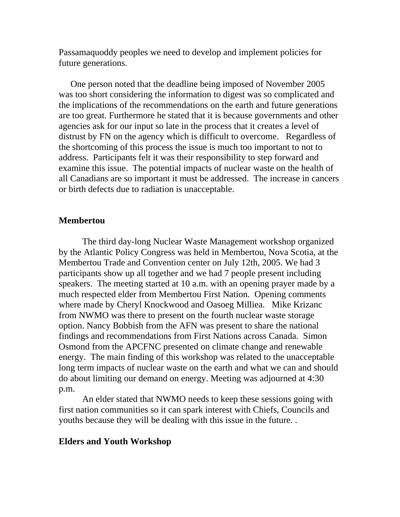Passamaquoddy peoples we need to develop and implement policies for future generations.

One person noted that the deadline being imposed of November 2005 was too short considering the information to digest was so complicated and the implications of the recommendations on the earth and future generations are too great. Furthermore he stated that it is because governments and other agencies ask for our input so late in the process that it creates a level of distrust by FN on the agency which is difficult to overcome. Regardless of the shortcoming of this process the issue is much too important to not to address. Participants felt it was their responsibility to step forward and examine this issue. The potential impacts of nuclear waste on the health of all Canadians are so important it must be addressed. The increase in cancers or birth defects due to radiation is unacceptable.

#### **Membertou**

The third day-long Nuclear Waste Management workshop organized by the Atlantic Policy Congress was held in Membertou, Nova Scotia, at the Membertou Trade and Convention center on July 12th, 2005. We had 3 participants show up all together and we had 7 people present including speakers. The meeting started at 10 a.m. with an opening prayer made by a much respected elder from Membertou First Nation. Opening comments where made by Cheryl Knockwood and Oasoeg Milliea. Mike Krizanc from NWMO was there to present on the fourth nuclear waste storage option. Nancy Bobbish from the AFN was present to share the national findings and recommendations from First Nations across Canada. Simon Osmond from the APCFNC presented on climate change and renewable energy. The main finding of this workshop was related to the unacceptable long term impacts of nuclear waste on the earth and what we can and should do about limiting our demand on energy. Meeting was adjourned at 4:30 p.m.

An elder stated that NWMO needs to keep these sessions going with first nation communities so it can spark interest with Chiefs, Councils and youths because they will be dealing with this issue in the future. .

#### **Elders and Youth Workshop**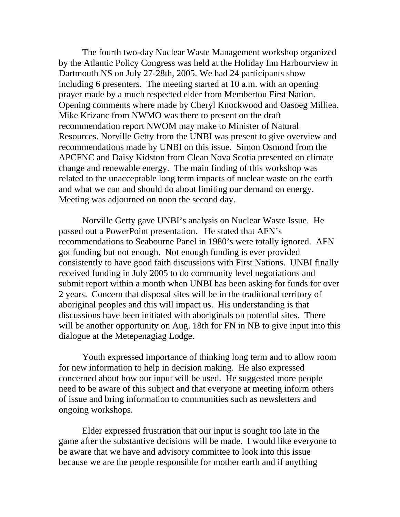The fourth two-day Nuclear Waste Management workshop organized by the Atlantic Policy Congress was held at the Holiday Inn Harbourview in Dartmouth NS on July 27-28th, 2005. We had 24 participants show including 6 presenters. The meeting started at 10 a.m. with an opening prayer made by a much respected elder from Membertou First Nation. Opening comments where made by Cheryl Knockwood and Oasoeg Milliea. Mike Krizanc from NWMO was there to present on the draft recommendation report NWOM may make to Minister of Natural Resources. Norville Getty from the UNBI was present to give overview and recommendations made by UNBI on this issue. Simon Osmond from the APCFNC and Daisy Kidston from Clean Nova Scotia presented on climate change and renewable energy. The main finding of this workshop was related to the unacceptable long term impacts of nuclear waste on the earth and what we can and should do about limiting our demand on energy. Meeting was adjourned on noon the second day.

Norville Getty gave UNBI's analysis on Nuclear Waste Issue. He passed out a PowerPoint presentation. He stated that AFN's recommendations to Seabourne Panel in 1980's were totally ignored. AFN got funding but not enough. Not enough funding is ever provided consistently to have good faith discussions with First Nations. UNBI finally received funding in July 2005 to do community level negotiations and submit report within a month when UNBI has been asking for funds for over 2 years. Concern that disposal sites will be in the traditional territory of aboriginal peoples and this will impact us. His understanding is that discussions have been initiated with aboriginals on potential sites. There will be another opportunity on Aug. 18th for FN in NB to give input into this dialogue at the Metepenagiag Lodge.

Youth expressed importance of thinking long term and to allow room for new information to help in decision making. He also expressed concerned about how our input will be used. He suggested more people need to be aware of this subject and that everyone at meeting inform others of issue and bring information to communities such as newsletters and ongoing workshops.

Elder expressed frustration that our input is sought too late in the game after the substantive decisions will be made. I would like everyone to be aware that we have and advisory committee to look into this issue because we are the people responsible for mother earth and if anything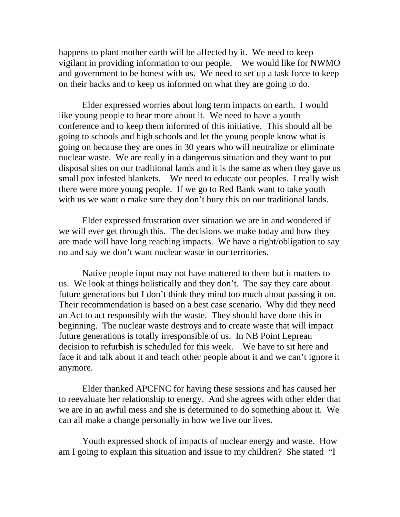happens to plant mother earth will be affected by it. We need to keep vigilant in providing information to our people. We would like for NWMO and government to be honest with us. We need to set up a task force to keep on their backs and to keep us informed on what they are going to do.

Elder expressed worries about long term impacts on earth. I would like young people to hear more about it. We need to have a youth conference and to keep them informed of this initiative. This should all be going to schools and high schools and let the young people know what is going on because they are ones in 30 years who will neutralize or eliminate nuclear waste. We are really in a dangerous situation and they want to put disposal sites on our traditional lands and it is the same as when they gave us small pox infested blankets. We need to educate our peoples. I really wish there were more young people. If we go to Red Bank want to take youth with us we want o make sure they don't bury this on our traditional lands.

Elder expressed frustration over situation we are in and wondered if we will ever get through this. The decisions we make today and how they are made will have long reaching impacts. We have a right/obligation to say no and say we don't want nuclear waste in our territories.

Native people input may not have mattered to them but it matters to us. We look at things holistically and they don't. The say they care about future generations but I don't think they mind too much about passing it on. Their recommendation is based on a best case scenario. Why did they need an Act to act responsibly with the waste. They should have done this in beginning. The nuclear waste destroys and to create waste that will impact future generations is totally irresponsible of us. In NB Point Lepreau decision to refurbish is scheduled for this week. We have to sit here and face it and talk about it and teach other people about it and we can't ignore it anymore.

Elder thanked APCFNC for having these sessions and has caused her to reevaluate her relationship to energy. And she agrees with other elder that we are in an awful mess and she is determined to do something about it. We can all make a change personally in how we live our lives.

Youth expressed shock of impacts of nuclear energy and waste. How am I going to explain this situation and issue to my children? She stated "I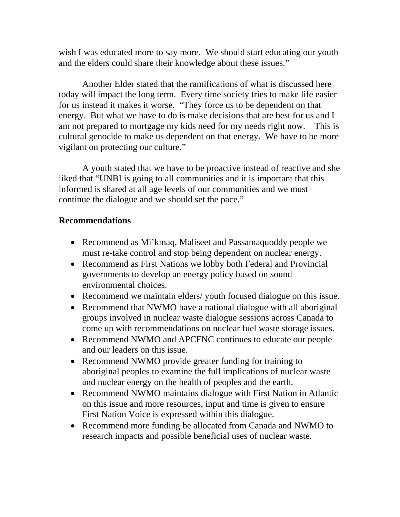wish I was educated more to say more. We should start educating our youth and the elders could share their knowledge about these issues."

Another Elder stated that the ramifications of what is discussed here today will impact the long term. Every time society tries to make life easier for us instead it makes it worse. "They force us to be dependent on that energy. But what we have to do is make decisions that are best for us and I am not prepared to mortgage my kids need for my needs right now. This is cultural genocide to make us dependent on that energy. We have to be more vigilant on protecting our culture."

A youth stated that we have to be proactive instead of reactive and she liked that "UNBI is going to all communities and it is important that this informed is shared at all age levels of our communities and we must continue the dialogue and we should set the pace."

# **Recommendations**

- Recommend as Mi'kmaq, Maliseet and Passamaquoddy people we must re-take control and stop being dependent on nuclear energy.
- Recommend as First Nations we lobby both Federal and Provincial governments to develop an energy policy based on sound environmental choices.
- Recommend we maintain elders/ youth focused dialogue on this issue.
- Recommend that NWMO have a national dialogue with all aboriginal groups involved in nuclear waste dialogue sessions across Canada to come up with recommendations on nuclear fuel waste storage issues.
- Recommend NWMO and APCFNC continues to educate our people and our leaders on this issue.
- Recommend NWMO provide greater funding for training to aboriginal peoples to examine the full implications of nuclear waste and nuclear energy on the health of peoples and the earth.
- Recommend NWMO maintains dialogue with First Nation in Atlantic on this issue and more resources, input and time is given to ensure First Nation Voice is expressed within this dialogue.
- Recommend more funding be allocated from Canada and NWMO to research impacts and possible beneficial uses of nuclear waste.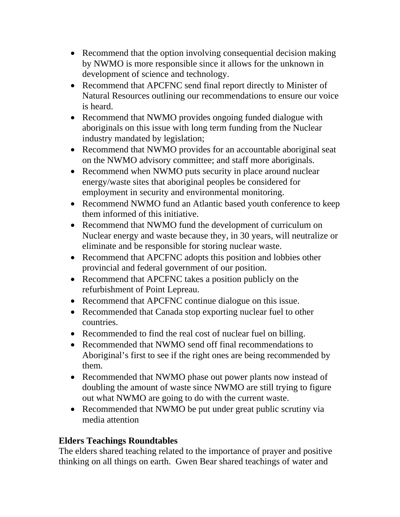- Recommend that the option involving consequential decision making by NWMO is more responsible since it allows for the unknown in development of science and technology.
- Recommend that APCFNC send final report directly to Minister of Natural Resources outlining our recommendations to ensure our voice is heard.
- Recommend that NWMO provides ongoing funded dialogue with aboriginals on this issue with long term funding from the Nuclear industry mandated by legislation;
- Recommend that NWMO provides for an accountable aboriginal seat on the NWMO advisory committee; and staff more aboriginals.
- Recommend when NWMO puts security in place around nuclear energy/waste sites that aboriginal peoples be considered for employment in security and environmental monitoring.
- Recommend NWMO fund an Atlantic based youth conference to keep them informed of this initiative.
- Recommend that NWMO fund the development of curriculum on Nuclear energy and waste because they, in 30 years, will neutralize or eliminate and be responsible for storing nuclear waste.
- Recommend that APCFNC adopts this position and lobbies other provincial and federal government of our position.
- Recommend that APCFNC takes a position publicly on the refurbishment of Point Lepreau.
- Recommend that APCFNC continue dialogue on this issue.
- Recommended that Canada stop exporting nuclear fuel to other countries.
- Recommended to find the real cost of nuclear fuel on billing.
- Recommended that NWMO send off final recommendations to Aboriginal's first to see if the right ones are being recommended by them.
- Recommended that NWMO phase out power plants now instead of doubling the amount of waste since NWMO are still trying to figure out what NWMO are going to do with the current waste.
- Recommended that NWMO be put under great public scrutiny via media attention

# **Elders Teachings Roundtables**

The elders shared teaching related to the importance of prayer and positive thinking on all things on earth. Gwen Bear shared teachings of water and